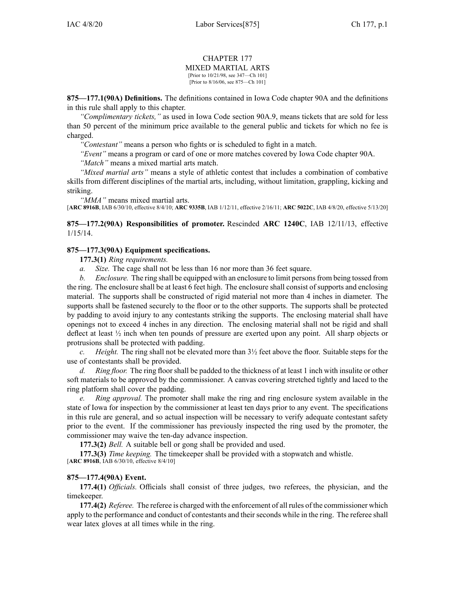#### CHAPTER 177 MIXED MARTIAL ARTS [Prior to 10/21/98, see 347—Ch 101]

[Prior to 8/16/06, see 875—Ch 101]

**875—177.1(90A) Definitions.** The definitions contained in Iowa Code chapter [90A](https://www.legis.iowa.gov/docs/ico/chapter/90A.pdf) and the definitions in this rule shall apply to this chapter.

*"Complimentary tickets,"* as used in Iowa Code section [90A.9](https://www.legis.iowa.gov/docs/ico/section/90A.9.pdf), means tickets that are sold for less than 50 percen<sup>t</sup> of the minimum price available to the general public and tickets for which no fee is charged.

*"Contestant"* means <sup>a</sup> person who fights or is scheduled to fight in <sup>a</sup> match.

*"Event"* means <sup>a</sup> program or card of one or more matches covered by Iowa Code chapter [90A](https://www.legis.iowa.gov/docs/ico/chapter/90A.pdf).

*"Match"* means <sup>a</sup> mixed martial arts match.

*"Mixed martial arts"* means <sup>a</sup> style of athletic contest that includes <sup>a</sup> combination of combative skills from different disciplines of the martial arts, including, without limitation, grappling, kicking and striking.

*"MMA"* means mixed martial arts.

[**ARC [8916B](https://www.legis.iowa.gov/docs/aco/arc/8916B.pdf)**, IAB 6/30/10, effective 8/4/10; **ARC [9335B](https://www.legis.iowa.gov/docs/aco/arc/9335B.pdf)**, IAB 1/12/11, effective 2/16/11; **ARC [5022C](https://www.legis.iowa.gov/docs/aco/arc/5022C.pdf)**, IAB 4/8/20, effective 5/13/20]

**875—177.2(90A) Responsibilities of promoter.** Rescinded **ARC 1240C**, IAB [12/11/13](https://www.legis.iowa.gov/docs/aco/bulletin/12-11-2013.pdf), effective 1/15/14.

### **875—177.3(90A) Equipment specifications.**

**177.3(1)** *Ring requirements.*

*a. Size.* The cage shall not be less than 16 nor more than 36 feet square.

*b. Enclosure.* The ring shall be equipped with an enclosure to limit personsfrom being tossed from the ring. The enclosure shall be at least 6 feet high. The enclosure shall consist of supports and enclosing material. The supports shall be constructed of rigid material not more than 4 inches in diameter. The supports shall be fastened securely to the floor or to the other supports. The supports shall be protected by padding to avoid injury to any contestants striking the supports. The enclosing material shall have openings not to exceed 4 inches in any direction. The enclosing material shall not be rigid and shall deflect at least ½ inch when ten pounds of pressure are exerted upon any point. All sharp objects or protrusions shall be protected with padding.

*c. Height.* The ring shall not be elevated more than 3½ feet above the floor. Suitable steps for the use of contestants shall be provided.

*d. Ring floor.* The ring floor shall be padded to the thickness of at least 1 inch with insulite or other soft materials to be approved by the commissioner. A canvas covering stretched tightly and laced to the ring platform shall cover the padding.

*Ring approval.* The promoter shall make the ring and ring enclosure system available in the state of Iowa for inspection by the commissioner at least ten days prior to any event. The specifications in this rule are general, and so actual inspection will be necessary to verify adequate contestant safety prior to the event. If the commissioner has previously inspected the ring used by the promoter, the commissioner may waive the ten-day advance inspection.

**177.3(2)** *Bell.* A suitable bell or gong shall be provided and used.

**177.3(3)** *Time keeping.* The timekeeper shall be provided with <sup>a</sup> stopwatch and whistle. [**ARC [8916B](https://www.legis.iowa.gov/docs/aco/arc/8916B.pdf)**, IAB 6/30/10, effective 8/4/10]

### **875—177.4(90A) Event.**

**177.4(1)** *Officials.* Officials shall consist of three judges, two referees, the physician, and the timekeeper.

**177.4(2)** *Referee.* The referee is charged with the enforcement of all rules of the commissioner which apply to the performance and conduct of contestants and their seconds while in the ring. The referee shall wear latex gloves at all times while in the ring.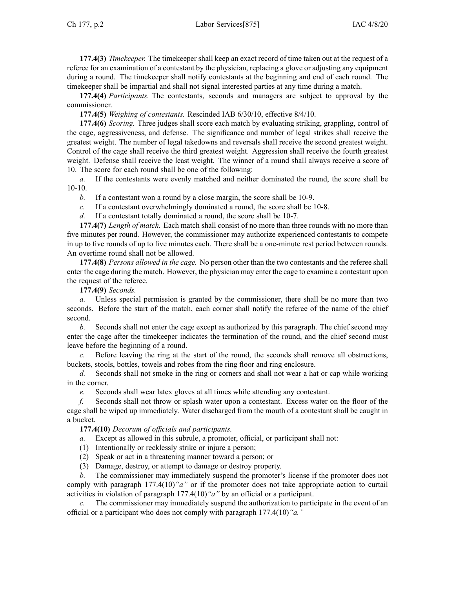**177.4(3)** *Timekeeper.* The timekeeper shall keep an exact record of time taken out at the reques<sup>t</sup> of <sup>a</sup> referee for an examination of <sup>a</sup> contestant by the physician, replacing <sup>a</sup> glove or adjusting any equipment during <sup>a</sup> round. The timekeeper shall notify contestants at the beginning and end of each round. The timekeeper shall be impartial and shall not signal interested parties at any time during <sup>a</sup> match.

**177.4(4)** *Participants.* The contestants, seconds and managers are subject to approval by the commissioner.

**177.4(5)** *Weighing of contestants.* Rescinded IAB [6/30/10](https://www.legis.iowa.gov/docs/aco/bulletin/06-30-2010.pdf), effective 8/4/10.

**177.4(6)** *Scoring.* Three judges shall score each match by evaluating striking, grappling, control of the cage, aggressiveness, and defense. The significance and number of legal strikes shall receive the greatest weight. The number of legal takedowns and reversals shall receive the second greatest weight. Control of the cage shall receive the third greatest weight. Aggression shall receive the fourth greatest weight. Defense shall receive the least weight. The winner of <sup>a</sup> round shall always receive <sup>a</sup> score of 10. The score for each round shall be one of the following:

*a.* If the contestants were evenly matched and neither dominated the round, the score shall be 10-10.

*b.* If <sup>a</sup> contestant won <sup>a</sup> round by <sup>a</sup> close margin, the score shall be 10-9.

*c.* If <sup>a</sup> contestant overwhelmingly dominated <sup>a</sup> round, the score shall be 10-8.

*d.* If <sup>a</sup> contestant totally dominated <sup>a</sup> round, the score shall be 10-7.

**177.4(7)** *Length of match.* Each match shall consist of no more than three rounds with no more than five minutes per round. However, the commissioner may authorize experienced contestants to compete in up to five rounds of up to five minutes each. There shall be <sup>a</sup> one-minute rest period between rounds. An overtime round shall not be allowed.

**177.4(8)** *Persons allowed in the cage.* No person other than the two contestants and the referee shall enter the cage during the match. However, the physician may enter the cage to examine <sup>a</sup> contestant upon the reques<sup>t</sup> of the referee.

**177.4(9)** *Seconds.*

*a.* Unless special permission is granted by the commissioner, there shall be no more than two seconds. Before the start of the match, each corner shall notify the referee of the name of the chief second.

*b.* Seconds shall not enter the cage excep<sup>t</sup> as authorized by this paragraph. The chief second may enter the cage after the timekeeper indicates the termination of the round, and the chief second must leave before the beginning of <sup>a</sup> round.

*c.* Before leaving the ring at the start of the round, the seconds shall remove all obstructions, buckets, stools, bottles, towels and robes from the ring floor and ring enclosure.

*d.* Seconds shall not smoke in the ring or corners and shall not wear <sup>a</sup> hat or cap while working in the corner.

*e.* Seconds shall wear latex gloves at all times while attending any contestant.

*f.* Seconds shall not throw or splash water upon <sup>a</sup> contestant. Excess water on the floor of the cage shall be wiped up immediately. Water discharged from the mouth of <sup>a</sup> contestant shall be caught in <sup>a</sup> bucket.

**177.4(10)** *Decorum of officials and participants.*

*a.* Except as allowed in this subrule, <sup>a</sup> promoter, official, or participant shall not:

(1) Intentionally or recklessly strike or injure <sup>a</sup> person;

(2) Speak or act in <sup>a</sup> threatening manner toward <sup>a</sup> person; or

(3) Damage, destroy, or attempt to damage or destroy property.

*b.* The commissioner may immediately suspend the promoter's license if the promoter does not comply with paragraph [177.4\(10\)](https://www.legis.iowa.gov/docs/iac/rule/875.177.4.pdf)*"a"* or if the promoter does not take appropriate action to curtail activities in violation of paragraph [177.4\(10\)](https://www.legis.iowa.gov/docs/iac/rule/875.177.4.pdf)*"a"* by an official or <sup>a</sup> participant.

*c.* The commissioner may immediately suspend the authorization to participate in the event of an official or <sup>a</sup> participant who does not comply with paragraph [177.4\(10\)](https://www.legis.iowa.gov/docs/iac/rule/875.177.4.pdf)*"a."*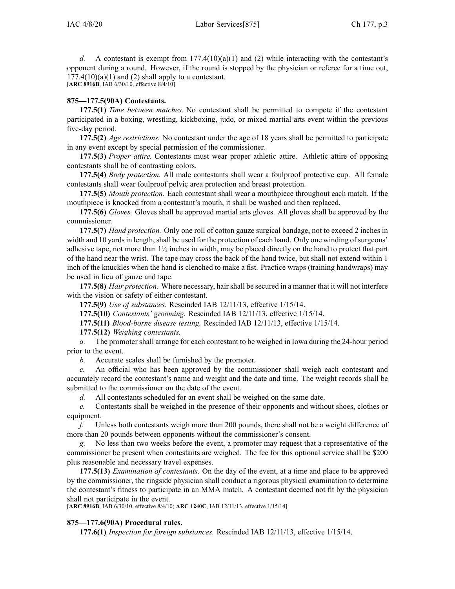*d.* A contestant is exempt from  $177.4(10)(a)(1)$  and (2) while interacting with the contestant's opponen<sup>t</sup> during <sup>a</sup> round. However, if the round is stopped by the physician or referee for <sup>a</sup> time out,  $177.4(10)(a)(1)$  and (2) shall apply to a contestant. [**ARC [8916B](https://www.legis.iowa.gov/docs/aco/arc/8916B.pdf)**, IAB 6/30/10, effective 8/4/10]

# **875—177.5(90A) Contestants.**

**177.5(1)** *Time between matches.* No contestant shall be permitted to compete if the contestant participated in <sup>a</sup> boxing, wrestling, kickboxing, judo, or mixed martial arts event within the previous five-day period.

**177.5(2)** *Age restrictions.* No contestant under the age of 18 years shall be permitted to participate in any event excep<sup>t</sup> by special permission of the commissioner.

**177.5(3)** *Proper attire.* Contestants must wear proper athletic attire. Athletic attire of opposing contestants shall be of contrasting colors.

**177.5(4)** *Body protection.* All male contestants shall wear <sup>a</sup> foulproof protective cup. All female contestants shall wear foulproof pelvic area protection and breast protection.

**177.5(5)** *Mouth protection.* Each contestant shall wear <sup>a</sup> mouthpiece throughout each match. If the mouthpiece is knocked from <sup>a</sup> contestant's mouth, it shall be washed and then replaced.

**177.5(6)** *Gloves.* Gloves shall be approved martial arts gloves. All gloves shall be approved by the commissioner.

**177.5(7)** *Hand protection.* Only one roll of cotton gauze surgical bandage, not to exceed 2 inches in width and 10 yards in length, shall be used for the protection of each hand. Only one winding of surgeons' adhesive tape, not more than  $1\frac{1}{2}$  inches in width, may be placed directly on the hand to protect that part of the hand near the wrist. The tape may cross the back of the hand twice, but shall not extend within 1 inch of the knuckles when the hand is clenched to make <sup>a</sup> fist. Practice wraps (training handwraps) may be used in lieu of gauze and tape.

**177.5(8)** *Hair protection*. Where necessary, hair shall be secured in a manner that it will not interfere with the vision or safety of either contestant.

**177.5(9)** *Use of substances.* Rescinded IAB [12/11/13](https://www.legis.iowa.gov/docs/aco/bulletin/12-11-2013.pdf), effective 1/15/14.

**177.5(10)** *Contestants' grooming.* Rescinded IAB [12/11/13](https://www.legis.iowa.gov/docs/aco/bulletin/12-11-2013.pdf), effective 1/15/14.

**177.5(11)** *Blood-borne disease testing.* Rescinded IAB [12/11/13](https://www.legis.iowa.gov/docs/aco/bulletin/12-11-2013.pdf), effective 1/15/14.

**177.5(12)** *Weighing contestants.*

*a.* The promoter shall arrange for each contestant to be weighed in Iowa during the 24-hour period prior to the event.

*b.* Accurate scales shall be furnished by the promoter.

*c.* An official who has been approved by the commissioner shall weigh each contestant and accurately record the contestant's name and weight and the date and time. The weight records shall be submitted to the commissioner on the date of the event.

*d.* All contestants scheduled for an event shall be weighed on the same date.

*e.* Contestants shall be weighed in the presence of their opponents and without shoes, clothes or equipment.

*f.* Unless both contestants weigh more than 200 pounds, there shall not be <sup>a</sup> weight difference of more than 20 pounds between opponents without the commissioner's consent.

*g.* No less than two weeks before the event, <sup>a</sup> promoter may reques<sup>t</sup> that <sup>a</sup> representative of the commissioner be presen<sup>t</sup> when contestants are weighed. The fee for this optional service shall be \$200 plus reasonable and necessary travel expenses.

**177.5(13)** *Examination of contestants.* On the day of the event, at <sup>a</sup> time and place to be approved by the commissioner, the ringside physician shall conduct <sup>a</sup> rigorous physical examination to determine the contestant's fitness to participate in an MMA match. A contestant deemed not fit by the physician shall not participate in the event.

[**ARC [8916B](https://www.legis.iowa.gov/docs/aco/arc/8916B.pdf)**, IAB 6/30/10, effective 8/4/10; **ARC [1240C](https://www.legis.iowa.gov/docs/aco/arc/1240C.pdf)**, IAB 12/11/13, effective 1/15/14]

# **875—177.6(90A) Procedural rules.**

**177.6(1)** *Inspection for foreign substances.* Rescinded IAB [12/11/13](https://www.legis.iowa.gov/docs/aco/bulletin/12-11-2013.pdf), effective 1/15/14.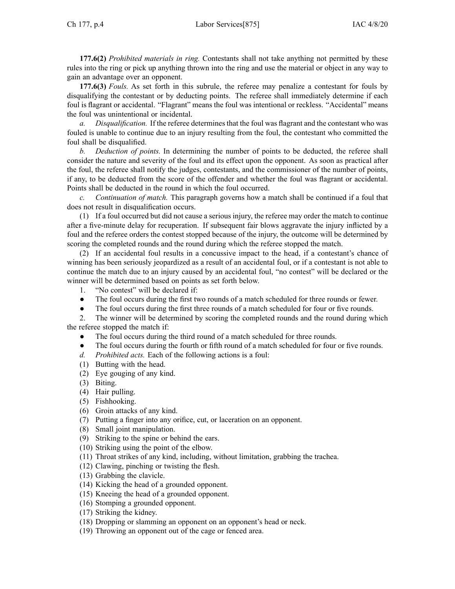**177.6(2)** *Prohibited materials in ring.* Contestants shall not take anything not permitted by these rules into the ring or pick up anything thrown into the ring and use the material or object in any way to gain an advantage over an opponent.

**177.6(3)** *Fouls.* As set forth in this subrule, the referee may penalize <sup>a</sup> contestant for fouls by disqualifying the contestant or by deducting points. The referee shall immediately determine if each foul is flagrant or accidental. "Flagrant" means the foul was intentional or reckless. "Accidental" means the foul was unintentional or incidental.

*Disqualification.* If the referee determines that the foul was flagrant and the contestant who was fouled is unable to continue due to an injury resulting from the foul, the contestant who committed the foul shall be disqualified.

*b. Deduction of points.* In determining the number of points to be deducted, the referee shall consider the nature and severity of the foul and its effect upon the opponent. As soon as practical after the foul, the referee shall notify the judges, contestants, and the commissioner of the number of points, if any, to be deducted from the score of the offender and whether the foul was flagrant or accidental. Points shall be deducted in the round in which the foul occurred.

*c. Continuation of match.* This paragraph governs how <sup>a</sup> match shall be continued if <sup>a</sup> foul that does not result in disqualification occurs.

(1) If <sup>a</sup> foul occurred but did not cause <sup>a</sup> serious injury, the referee may order the match to continue after <sup>a</sup> five-minute delay for recuperation. If subsequent fair blows aggravate the injury inflicted by <sup>a</sup> foul and the referee orders the contest stopped because of the injury, the outcome will be determined by scoring the completed rounds and the round during which the referee stopped the match.

(2) If an accidental foul results in <sup>a</sup> concussive impact to the head, if <sup>a</sup> contestant's chance of winning has been seriously jeopardized as <sup>a</sup> result of an accidental foul, or if <sup>a</sup> contestant is not able to continue the match due to an injury caused by an accidental foul, "no contest" will be declared or the winner will be determined based on points as set forth below.

- 1. "No contest" will be declared if:
- ●The foul occurs during the first two rounds of <sup>a</sup> match scheduled for three rounds or fewer.
- $\bullet$ The foul occurs during the first three rounds of <sup>a</sup> match scheduled for four or five rounds.

2. The winner will be determined by scoring the completed rounds and the round during which the referee stopped the match if:

- ●The foul occurs during the third round of <sup>a</sup> match scheduled for three rounds.
- ●The foul occurs during the fourth or fifth round of <sup>a</sup> match scheduled for four or five rounds.
- *d. Prohibited acts.* Each of the following actions is <sup>a</sup> foul:
- (1) Butting with the head.
- (2) Eye gouging of any kind.
- (3) Biting.
- (4) Hair pulling.
- (5) Fishhooking.
- (6) Groin attacks of any kind.
- (7) Putting <sup>a</sup> finger into any orifice, cut, or laceration on an opponent.
- (8) Small joint manipulation.
- (9) Striking to the spine or behind the ears.
- (10) Striking using the point of the elbow.
- (11) Throat strikes of any kind, including, without limitation, grabbing the trachea.
- (12) Clawing, pinching or twisting the flesh.
- (13) Grabbing the clavicle.
- (14) Kicking the head of <sup>a</sup> grounded opponent.
- (15) Kneeing the head of <sup>a</sup> grounded opponent.
- (16) Stomping <sup>a</sup> grounded opponent.
- (17) Striking the kidney.
- (18) Dropping or slamming an opponen<sup>t</sup> on an opponent's head or neck.
- (19) Throwing an opponen<sup>t</sup> out of the cage or fenced area.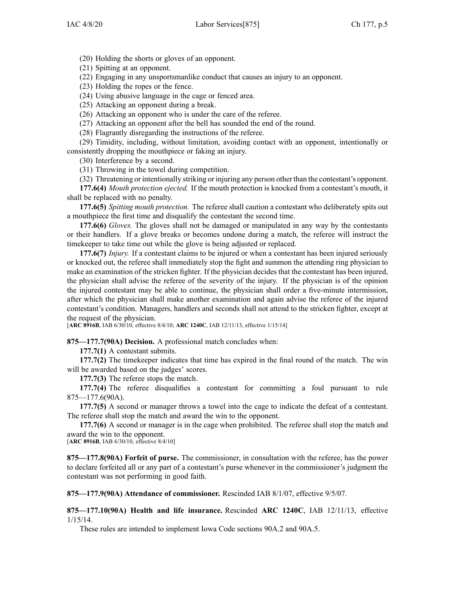(20) Holding the shorts or gloves of an opponent.

(21) Spitting at an opponent.

(22) Engaging in any unsportsmanlike conduct that causes an injury to an opponent.

(23) Holding the ropes or the fence.

(24) Using abusive language in the cage or fenced area.

(25) Attacking an opponen<sup>t</sup> during <sup>a</sup> break.

(26) Attacking an opponen<sup>t</sup> who is under the care of the referee.

(27) Attacking an opponen<sup>t</sup> after the bell has sounded the end of the round.

(28) Flagrantly disregarding the instructions of the referee.

(29) Timidity, including, without limitation, avoiding contact with an opponent, intentionally or consistently dropping the mouthpiece or faking an injury.

(30) Interference by <sup>a</sup> second.

(31) Throwing in the towel during competition.

(32) Threatening or intentionally striking or injuring any person other than the contestant's opponent.

**177.6(4)** *Mouth protection ejected.* If the mouth protection is knocked from <sup>a</sup> contestant's mouth, it shall be replaced with no penalty.

**177.6(5)** *Spitting mouth protection.* The referee shall caution <sup>a</sup> contestant who deliberately spits out <sup>a</sup> mouthpiece the first time and disqualify the contestant the second time.

**177.6(6)** *Gloves.* The gloves shall not be damaged or manipulated in any way by the contestants or their handlers. If <sup>a</sup> glove breaks or becomes undone during <sup>a</sup> match, the referee will instruct the timekeeper to take time out while the glove is being adjusted or replaced.

**177.6(7)** *Injury.* If <sup>a</sup> contestant claims to be injured or when <sup>a</sup> contestant has been injured seriously or knocked out, the referee shall immediately stop the fight and summon the attending ring physician to make an examination of the stricken fighter. If the physician decides that the contestant has been injured, the physician shall advise the referee of the severity of the injury. If the physician is of the opinion the injured contestant may be able to continue, the physician shall order <sup>a</sup> five-minute intermission, after which the physician shall make another examination and again advise the referee of the injured contestant's condition. Managers, handlers and seconds shall not attend to the stricken fighter, excep<sup>t</sup> at the reques<sup>t</sup> of the physician.

[**ARC [8916B](https://www.legis.iowa.gov/docs/aco/arc/8916B.pdf)**, IAB 6/30/10, effective 8/4/10; **ARC [1240C](https://www.legis.iowa.gov/docs/aco/arc/1240C.pdf)**, IAB 12/11/13, effective 1/15/14]

**875—177.7(90A) Decision.** A professional match concludes when:

**177.7(1)** A contestant submits.

**177.7(2)** The timekeeper indicates that time has expired in the final round of the match. The win will be awarded based on the judges' scores.

**177.7(3)** The referee stops the match.

**177.7(4)** The referee disqualifies <sup>a</sup> contestant for committing <sup>a</sup> foul pursuan<sup>t</sup> to rule [875—177.6](https://www.legis.iowa.gov/docs/iac/rule/875.177.6.pdf)(90A).

**177.7(5)** A second or manager throws <sup>a</sup> towel into the cage to indicate the defeat of <sup>a</sup> contestant. The referee shall stop the match and award the win to the opponent.

**177.7(6)** A second or manager is in the cage when prohibited. The referee shall stop the match and award the win to the opponent.

[**ARC [8916B](https://www.legis.iowa.gov/docs/aco/arc/8916B.pdf)**, IAB 6/30/10, effective 8/4/10]

**875—177.8(90A) Forfeit of purse.** The commissioner, in consultation with the referee, has the power to declare forfeited all or any par<sup>t</sup> of <sup>a</sup> contestant's purse whenever in the commissioner's judgment the contestant was not performing in good faith.

**875—177.9(90A) Attendance of commissioner.** Rescinded IAB [8/1/07](https://www.legis.iowa.gov/docs/aco/bulletin/08-01-2007.pdf), effective 9/5/07.

**875—177.10(90A) Health and life insurance.** Rescinded **ARC 1240C**, IAB [12/11/13](https://www.legis.iowa.gov/docs/aco/bulletin/12-11-2013.pdf), effective 1/15/14.

These rules are intended to implement Iowa Code sections [90A.2](https://www.legis.iowa.gov/docs/ico/section/90A.2.pdf) and [90A.5](https://www.legis.iowa.gov/docs/ico/section/90A.5.pdf).